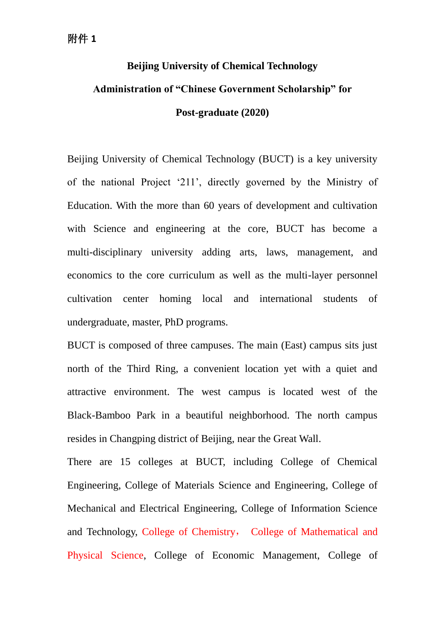# **Beijing University of Chemical Technology Administration of "Chinese Government Scholarship" for Post-graduate (2020)**

Beijing University of Chemical Technology (BUCT) is a key university of the national Project '211', directly governed by the Ministry of Education. With the more than 60 years of development and cultivation with Science and engineering at the core, BUCT has become a multi-disciplinary university adding arts, laws, management, and economics to the core curriculum as well as the multi-layer personnel cultivation center homing local and international students of undergraduate, master, PhD programs.

BUCT is composed of three campuses. The main (East) campus sits just north of the Third Ring, a convenient location yet with a quiet and attractive environment. The west campus is located west of the Black-Bamboo Park in a beautiful neighborhood. The north campus resides in Changping district of Beijing, near the Great Wall.

There are 15 colleges at BUCT, including College of Chemical Engineering, College of Materials Science and Engineering, College of Mechanical and Electrical Engineering, College of Information Science and Technology, College of Chemistry, College of Mathematical and Physical Science, College of Economic Management, College of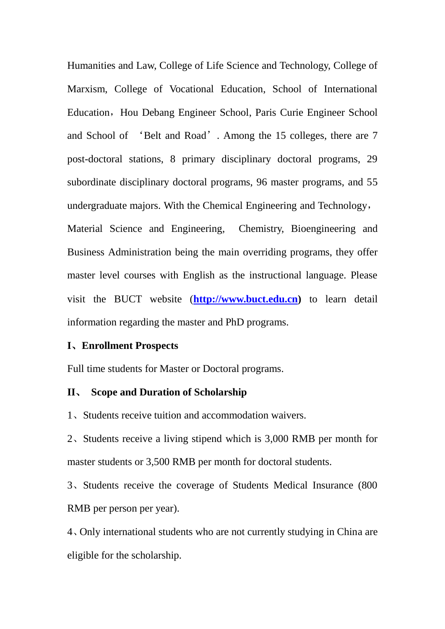Humanities and Law, College of Life Science and Technology, College of Marxism, College of Vocational Education, School of International Education, Hou Debang Engineer School, Paris Curie Engineer School and School of 'Belt and Road'. Among the 15 colleges, there are 7 post-doctoral stations, 8 primary disciplinary doctoral programs, 29 subordinate disciplinary doctoral programs, 96 master programs, and 55 undergraduate majors. With the Chemical Engineering and Technology, Material Science and Engineering, Chemistry, Bioengineering and Business Administration being the main overriding programs, they offer master level courses with English as the instructional language. Please visit the BUCT website (**[http://www.buct.edu.cn\)](http://www.buct.edu.cn/)** to learn detail information regarding the master and PhD programs.

#### **I**、**Enrollment Prospects**

Full time students for Master or Doctoral programs.

#### **II**、 **Scope and Duration of Scholarship**

1、Students receive tuition and accommodation waivers.

2、Students receive a living stipend which is 3,000 RMB per month for master students or 3,500 RMB per month for doctoral students.

3、Students receive the coverage of Students Medical Insurance (800 RMB per person per year).

4、Only international students who are not currently studying in China are eligible for the scholarship.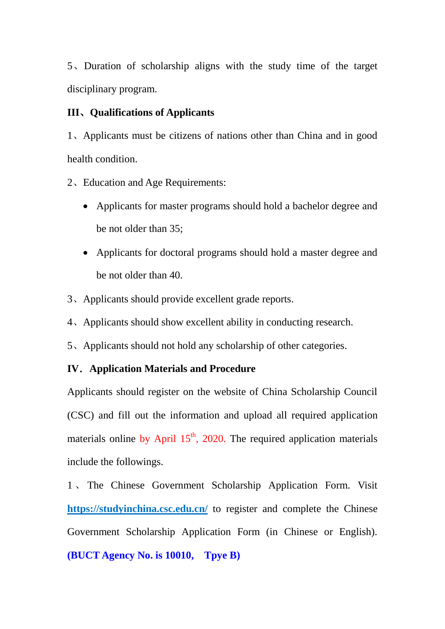5、Duration of scholarship aligns with the study time of the target disciplinary program.

#### **III**、**Qualifications of Applicants**

1、Applicants must be citizens of nations other than China and in good health condition.

- 2、Education and Age Requirements:
	- Applicants for master programs should hold a bachelor degree and be not older than 35;
	- Applicants for doctoral programs should hold a master degree and be not older than 40.
- 3、Applicants should provide excellent grade reports.
- 4、Applicants should show excellent ability in conducting research.
- 5、Applicants should not hold any scholarship of other categories.

#### **IV**.**Application Materials and Procedure**

Applicants should register on the website of China Scholarship Council (CSC) and fill out the information and upload all required application materials online by April  $15<sup>th</sup>$ , 2020. The required application materials include the followings.

1 、 The Chinese Government Scholarship Application Form. Visi[t](http://laihua.csc.edu.cn) **[https://studyinchina.csc.edu.cn/](http://laihua.csc.edu.cn)** to register and complete the Chinese Government Scholarship Application Form (in Chinese or English). **(BUCT Agency No. is 10010, Tpye B)**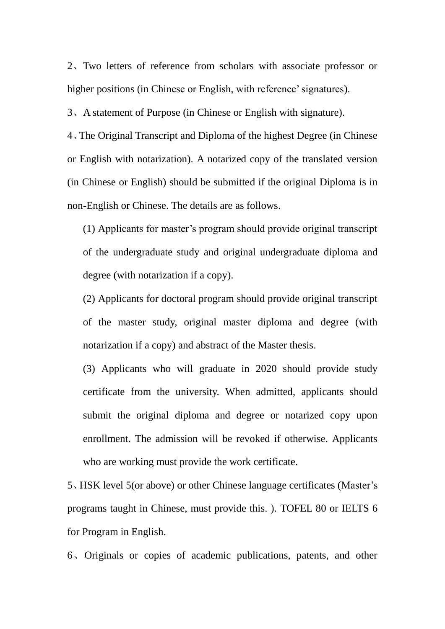2、Two letters of reference from scholars with associate professor or higher positions (in Chinese or English, with reference' signatures).

3、A statement of Purpose (in Chinese or English with signature).

4、The Original Transcript and Diploma of the highest Degree (in Chinese or English with notarization). A notarized copy of the translated version (in Chinese or English) should be submitted if the original Diploma is in non-English or Chinese. The details are as follows.

(1) Applicants for master's program should provide original transcript of the undergraduate study and original undergraduate diploma and degree (with notarization if a copy).

(2) Applicants for doctoral program should provide original transcript of the master study, original master diploma and degree (with notarization if a copy) and abstract of the Master thesis.

(3) Applicants who will graduate in 2020 should provide study certificate from the university. When admitted, applicants should submit the original diploma and degree or notarized copy upon enrollment. The admission will be revoked if otherwise. Applicants who are working must provide the work certificate.

5、HSK level 5(or above) or other Chinese language certificates (Master's programs taught in Chinese, must provide this. ). TOFEL 80 or IELTS 6 for Program in English.

6、Originals or copies of academic publications, patents, and other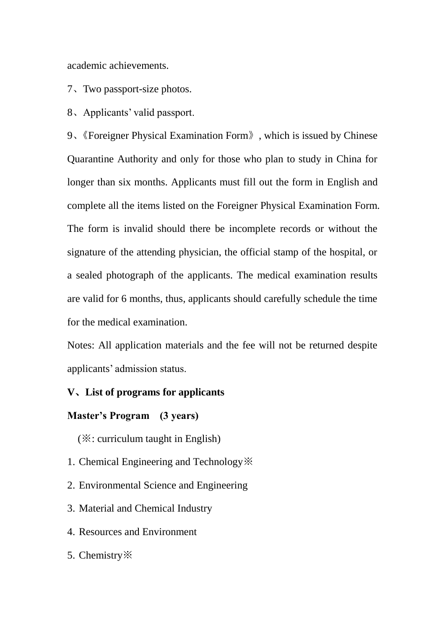academic achievements.

- 7、Two passport-size photos.
- 8、Applicants' valid passport.

9、《Foreigner Physical Examination Form》, which is issued by Chinese Quarantine Authority and only for those who plan to study in China for longer than six months. Applicants must fill out the form in English and complete all the items listed on the Foreigner Physical Examination Form. The form is invalid should there be incomplete records or without the signature of the attending physician, the official stamp of the hospital, or a sealed photograph of the applicants. The medical examination results are valid for 6 months, thus, applicants should carefully schedule the time for the medical examination.

Notes: All application materials and the fee will not be returned despite applicants' admission status.

#### **V**、**List of programs for applicants**

#### **Master's Program (3 years)**

(※: curriculum taught in English)

- 1. Chemical Engineering and Technology※
- 2. Environmental Science and Engineering
- 3. Material and Chemical Industry
- 4. Resources and Environment
- 5. Chemistry※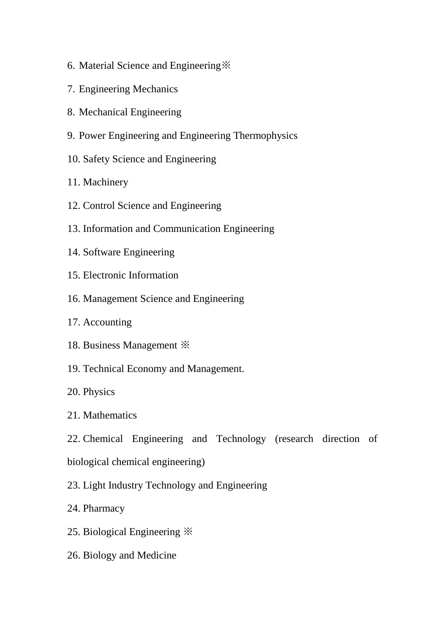- 6. Material Science and Engineering※
- 7. Engineering Mechanics
- 8. Mechanical Engineering
- 9. Power Engineering and Engineering Thermophysics
- 10. Safety Science and Engineering
- 11. Machinery
- 12. Control Science and Engineering
- 13. Information and Communication Engineering
- 14. Software Engineering
- 15. Electronic Information
- 16. Management Science and Engineering
- 17. Accounting
- 18. Business Management ※
- 19. Technical Economy and Management.
- 20. Physics
- 21. Mathematics
- 22. Chemical Engineering and Technology (research direction of biological chemical engineering)
- 23. Light Industry Technology and Engineering
- 24. Pharmacy
- 25. Biological Engineering ※
- 26. Biology and Medicine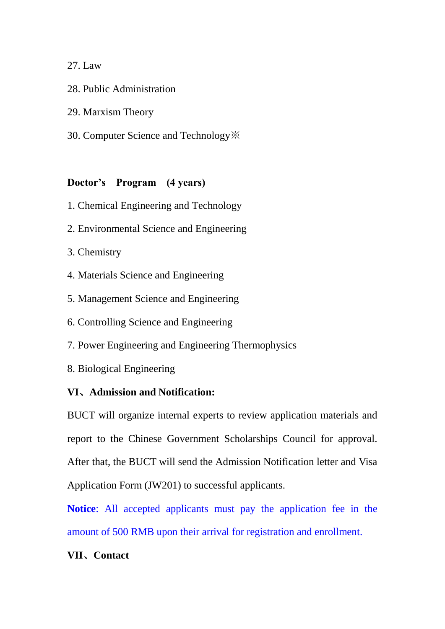## 27. Law

- 28. Public Administration
- 29. Marxism Theory
- 30. Computer Science and Technology※

## **Doctor's Program (4 years)**

- 1. Chemical Engineering and Technology
- 2. Environmental Science and Engineering
- 3. Chemistry
- 4. Materials Science and Engineering
- 5. Management Science and Engineering
- 6. Controlling Science and Engineering
- 7. Power Engineering and Engineering Thermophysics
- 8. Biological Engineering

## **VI**、**Admission and Notification:**

BUCT will organize internal experts to review application materials and report to the Chinese Government Scholarships Council for approval. After that, the BUCT will send the Admission Notification letter and Visa Application Form (JW201) to successful applicants.

**Notice**: All accepted applicants must pay the application fee in the amount of 500 RMB upon their arrival for registration and enrollment.

## **VII**、**Contact**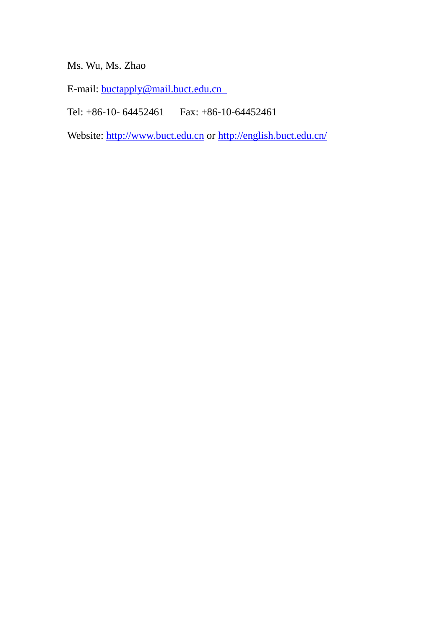## Ms. Wu, Ms. Zhao

E-mail: [buctapply@mail.buct.edu.cn](mailto:buctapply@mail.buct.edu.cn) 

Tel: +86-10- 64452461 Fax: +86-10-64452461

Website: [http://www.buct.edu.cn](http://www.buct.edu.cn/) or<http://english.buct.edu.cn/>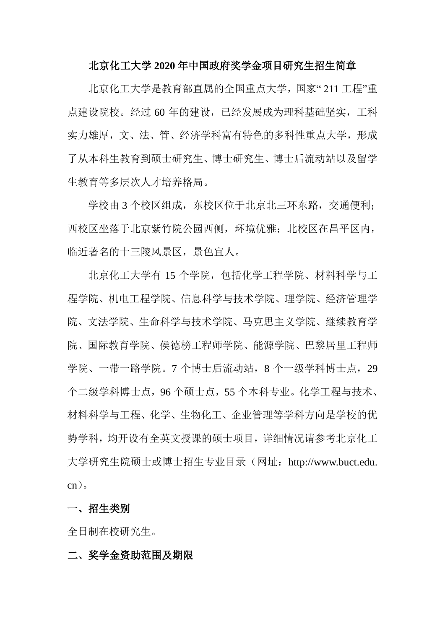#### 北京化工大学 **2020** 年中国政府奖学金项目研究生招生简章

北京化工大学是教育部直属的全国重点大学,国家" 211 工程"重 点建设院校。经过 60 年的建设,已经发展成为理科基础坚实,工科 实力雄厚,文、法、管、经济学科富有特色的多科性重点大学,形成 了从本科生教育到硕士研究生、博士研究生、博士后流动站以及留学 生教育等多层次人才培养格局。

 学校由 3 个校区组成,东校区位于北京北三环东路,交通便利; 西校区坐落于北京紫竹院公园西侧,环境优雅;北校区在昌平区内, 临近著名的十三陵风景区,景色宜人。

北京化工大学有 15 个学院,包括化学工程学院、材料科学与工 程学院、机电工程学院、信息科学与技术学院、理学院、经济管理学 院、文法学院、生命科学与技术学院、马克思主义学院、继续教育学 院、国际教育学院、侯德榜工程师学院、能源学院、巴黎居里工程师 学院、一带一路学院。7个博士后流动站, 8个一级学科博士点, 29 个二级学科博士点,96 个硕士点,55 个本科专业。化学工程与技术、 材料科学与工程、化学、生物化工、企业管理等学科方向是学校的优 势学科,均开设有全英文授课的硕士项目,详细情况请参考北京化工 大学研究生院硕士或博士招生专业目录(网址:http://www.buct.edu. cn)。

#### 一、招生类别

全日制在校研究生。

#### 二、奖学金资助范围及期限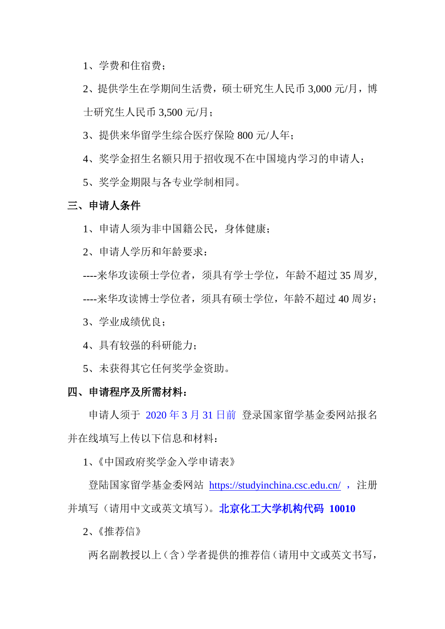1、学费和住宿费;

2、提供学生在学期间生活费,硕士研究生人民币 3,000 元/月,博 士研究生人民币 3,500 元/月;

3、提供来华留学生综合医疗保险 800 元/人年;

4、奖学金招生名额只用于招收现不在中国境内学习的申请人;

5、奖学金期限与各专业学制相同。

#### 三、申请人条件

1、申请人须为非中国籍公民,身体健康;

2、申请人学历和年龄要求:

----来华攻读硕士学位者,须具有学士学位,年龄不超过 35 周岁,

----来华攻读博士学位者,须具有硕士学位,年龄不超过 40 周岁;

3、学业成绩优良;

4、具有较强的科研能力;

5、未获得其它任何奖学金资助。

#### 四、申请程序及所需材料:

申请人须于 2020 年 3 月 31 日前 登录国家留学基金委网站报名 并在线填写上传以下信息和材料:

1、《中国政府奖学金入学申请表》

登陆国家留学基金委网站 <https://studyinchina.csc.edu.cn/>, 注册 并填写(请用中文或英文填写)。北京化工大学机构代码 **10010**

2、《推荐信》

两名副教授以上(含)学者提供的推荐信(请用中文或英文书写,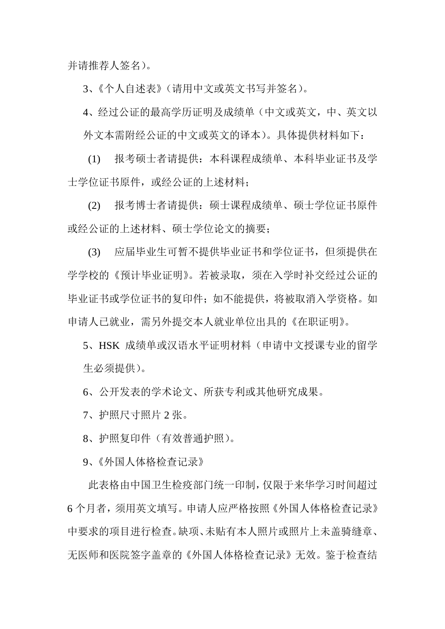并请推荐人签名)。

3、《个人自述表》(请用中文或英文书写并签名)。

4、经过公证的最高学历证明及成绩单(中文或英文,中、英文以 外文本需附经公证的中文或英文的译本)。具体提供材料如下:

(1) 报考硕士者请提供:本科课程成绩单、本科毕业证书及学 士学位证书原件,或经公证的上述材料;

(2) 报考博士者请提供:硕士课程成绩单、硕士学位证书原件 或经公证的上述材料、硕士学位论文的摘要;

(3) 应届毕业生可暂不提供毕业证书和学位证书,但须提供在 学学校的《预计毕业证明》。若被录取,须在入学时补交经过公证的 毕业证书或学位证书的复印件: 如不能提供, 将被取消入学资格。如 申请人已就业,需另外提交本人就业单位出具的《在职证明》。

5、HSK 成绩单或汉语水平证明材料(申请中文授课专业的留学 生必须提供)。

6、公开发表的学术论文、所获专利或其他研究成果。

7、护照尺寸照片 2 张。

8、护照复印件(有效普通护照)。

9、《外国人体格检查记录》

此表格由中国卫生检疫部门统一印制,仅限于来华学习时间超过 6 个月者,须用英文填写。申请人应严格按照《外国人体格检查记录》 中要求的项目进行检查。缺项、未贴有本人照片或照片上未盖骑缝章、 无医师和医院签字盖章的《外国人体格检查记录》无效。鉴于检查结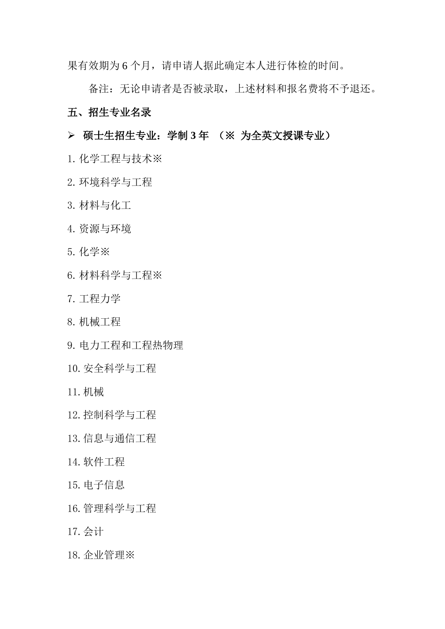果有效期为 6 个月, 请申请人据此确定本人进行体检的时间。

备注:无论申请者是否被录取,上述材料和报名费将不予退还。 五、招生专业名录

## 硕士生招生专业:学制 **3** 年 (※ 为全英文授课专业)

- 1.化学工程与技术※
- 2.环境科学与工程
- 3.材料与化工
- 4.资源与环境
- 5.化学※
- 6.材料科学与工程※
- 7.工程力学
- 8.机械工程
- 9.电力工程和工程热物理
- 10.安全科学与工程
- 11.机械
- 12.控制科学与工程
- 13.信息与通信工程
- 14.软件工程
- 15.电子信息
- 16.管理科学与工程
- 17.会计
- 18.企业管理※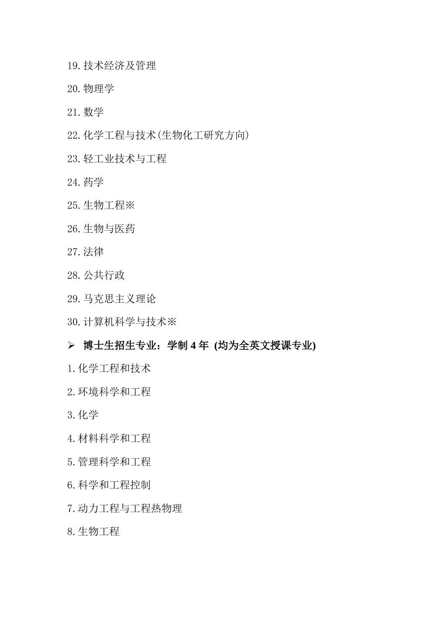- 19.技术经济及管理
- 20.物理学
- 21.数学
- 22.化学工程与技术(生物化工研究方向)
- 23.轻工业技术与工程
- 24.药学
- 25.生物工程※
- 26.生物与医药
- 27.法律
- 28.公共行政
- 29.马克思主义理论
- 30.计算机科学与技术※

## 博士生招生专业:学制 **4** 年 **(**均为全英文授课专业**)**

- 1.化学工程和技术
- 2.环境科学和工程
- 3.化学
- 4.材料科学和工程
- 5.管理科学和工程
- 6.科学和工程控制
- 7.动力工程与工程热物理
- 8.生物工程